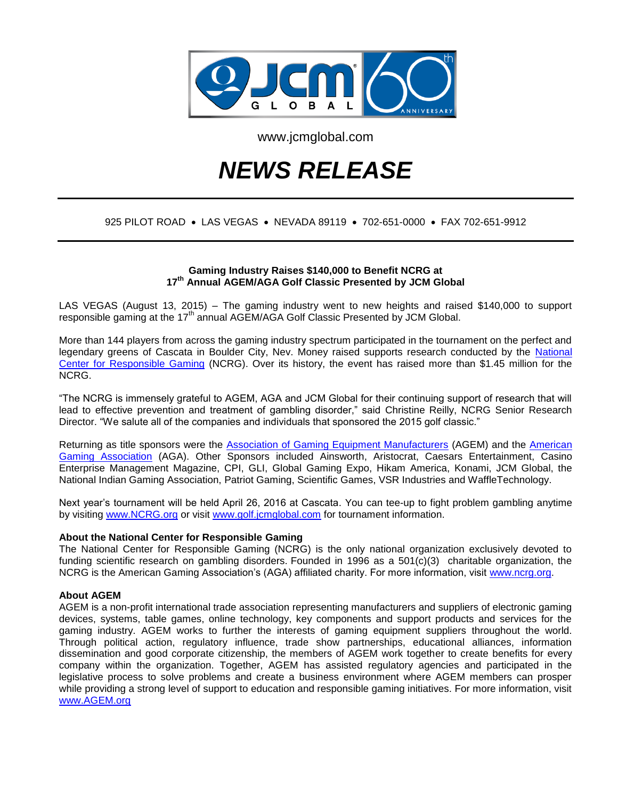

www.jcmglobal.com

# *NEWS RELEASE*

# 925 PILOT ROAD • LAS VEGAS • NEVADA 89119 • 702-651-0000 • FAX 702-651-9912

# **Gaming Industry Raises \$140,000 to Benefit NCRG at 17th Annual AGEM/AGA Golf Classic Presented by JCM Global**

LAS VEGAS (August 13, 2015) – The gaming industry went to new heights and raised \$140,000 to support responsible gaming at the  $17<sup>th</sup>$  annual AGEM/AGA Golf Classic Presented by JCM Global.

More than 144 players from across the gaming industry spectrum participated in the tournament on the perfect and legendary greens of Cascata in Boulder City, Nev. Money raised supports research conducted by the [National](http://www.ncrg.org/)  [Center for Responsible Gaming](http://www.ncrg.org/) (NCRG). Over its history, the event has raised more than \$1.45 million for the NCRG.

"The NCRG is immensely grateful to AGEM, AGA and JCM Global for their continuing support of research that will lead to effective prevention and treatment of gambling disorder," said Christine Reilly, NCRG Senior Research Director. "We salute all of the companies and individuals that sponsored the 2015 golf classic."

Returning as title sponsors were the [Association of Gaming Equipment Manufacturers](http://www.agem.org/) (AGEM) and the [American](http://www.americangaming.org/)  [Gaming Association](http://www.americangaming.org/) (AGA). Other Sponsors included Ainsworth, Aristocrat, Caesars Entertainment, Casino Enterprise Management Magazine, CPI, GLI, Global Gaming Expo, Hikam America, Konami, JCM Global, the National Indian Gaming Association, Patriot Gaming, Scientific Games, VSR Industries and WaffleTechnology.

Next year's tournament will be held April 26, 2016 at Cascata. You can tee-up to fight problem gambling anytime by visiting [www.NCRG.org](http://www.ncrg.org/) or visit [www.golf.jcmglobal.com](http://www.golf.jcmglobal.com/) for tournament information.

#### **About the National Center for Responsible Gaming**

The National Center for Responsible Gaming (NCRG) is the only national organization exclusively devoted to funding scientific research on gambling disorders. Founded in 1996 as a 501(c)(3) charitable organization, the NCRG is the American Gaming Association's (AGA) affiliated charity. For more information, visit [www.ncrg.org.](http://www.ncrg.org/)

### **About AGEM**

AGEM is a non-profit international trade association representing manufacturers and suppliers of electronic gaming devices, systems, table games, online technology, key components and support products and services for the gaming industry. AGEM works to further the interests of gaming equipment suppliers throughout the world. Through political action, regulatory influence, trade show partnerships, educational alliances, information dissemination and good corporate citizenship, the members of AGEM work together to create benefits for every company within the organization. Together, AGEM has assisted regulatory agencies and participated in the legislative process to solve problems and create a business environment where AGEM members can prosper while providing a strong level of support to education and responsible gaming initiatives. For more information, visit [www.AGEM.org](http://www.agem.org/)